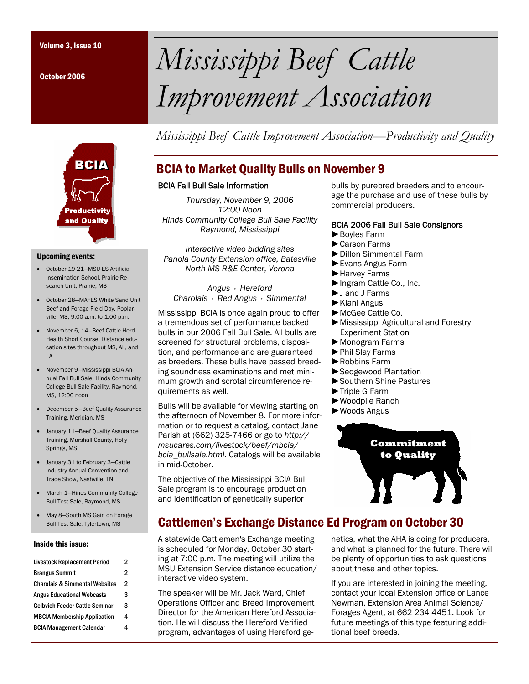October 2006

## **BCIA roductivity** and Quality

#### Upcoming events:

- October 19-21—MSU-ES Artificial Insemination School, Prairie Research Unit, Prairie, MS
- October 28—MAFES White Sand Unit Beef and Forage Field Day, Poplarville, MS, 9:00 a.m. to 1:00 p.m.
- November 6, 14—Beef Cattle Herd Health Short Course, Distance education sites throughout MS, AL, and LA
- November 9—Mississippi BCIA Annual Fall Bull Sale, Hinds Community College Bull Sale Facility, Raymond, MS, 12:00 noon
- December 5—Beef Quality Assurance Training, Meridian, MS
- January 11—Beef Quality Assurance Training, Marshall County, Holly Springs, MS
- January 31 to February 3—Cattle Industry Annual Convention and Trade Show, Nashville, TN
- March 1—Hinds Community College Bull Test Sale, Raymond, MS
- May 8—South MS Gain on Forage Bull Test Sale, Tylertown, MS

#### Inside this issue:

| <b>Livestock Replacement Period</b>       | 2 |
|-------------------------------------------|---|
| <b>Brangus Summit</b>                     | 2 |
| <b>Charolais &amp; Simmental Websites</b> | 2 |
| <b>Angus Educational Webcasts</b>         | 3 |
| Gelbvieh Feeder Cattle Seminar            | 3 |
| <b>MBCIA Membership Application</b>       | 4 |
| <b>BCIA Management Calendar</b>           | 4 |
|                                           |   |

# Volume 3, Issue 10 *Mississippi Beef Cattle Improvement Association*

*Mississippi Beef Cattle Improvement Association—Productivity and Quality* 

## BCIA to Market Quality Bulls on November 9

#### BCIA Fall Bull Sale Information

*Thursday, November 9, 2006 12:00 Noon Hinds Community College Bull Sale Facility Raymond, Mississippi* 

*Interactive video bidding sites Panola County Extension office, Batesville North MS R&E Center, Verona* 

*Angus · Hereford Charolais · Red Angus · Simmental* 

Mississippi BCIA is once again proud to offer a tremendous set of performance backed bulls in our 2006 Fall Bull Sale. All bulls are screened for structural problems, disposition, and performance and are guaranteed as breeders. These bulls have passed breeding soundness examinations and met minimum growth and scrotal circumference requirements as well.

Bulls will be available for viewing starting on the afternoon of November 8. For more information or to request a catalog, contact Jane Parish at (662) 325-7466 or go to *http:// msucares.com/livestock/beef/mbcia/ bcia\_bullsale.html*. Catalogs will be available in mid-October.

The objective of the Mississippi BCIA Bull Sale program is to encourage production and identification of genetically superior

## Cattlemen's Exchange Distance Ed Program on October 30

A statewide Cattlemen's Exchange meeting is scheduled for Monday, October 30 starting at 7:00 p.m. The meeting will utilize the MSU Extension Service distance education/ interactive video system.

The speaker will be Mr. Jack Ward, Chief Operations Officer and Breed Improvement Director for the American Hereford Association. He will discuss the Hereford Verified program, advantages of using Hereford gebulls by purebred breeders and to encourage the purchase and use of these bulls by commercial producers.

#### BCIA 2006 Fall Bull Sale Consignors

- ►Boyles Farm
- ►Carson Farms
- ►Dillon Simmental Farm
- ►Evans Angus Farm
- ►Harvey Farms
- ►Ingram Cattle Co., Inc.
- ►J and J Farms
- ►Kiani Angus
- ►McGee Cattle Co.
- ►Mississippi Agricultural and Forestry Experiment Station
- ►Monogram Farms
- ►Phil Slay Farms
- ►Robbins Farm
- ►Sedgewood Plantation
- ►Southern Shine Pastures
- ►Triple G Farm
- ►Woodpile Ranch
- ►Woods Angus



netics, what the AHA is doing for producers, and what is planned for the future. There will be plenty of opportunities to ask questions about these and other topics.

If you are interested in joining the meeting, contact your local Extension office or Lance Newman, Extension Area Animal Science/ Forages Agent, at 662 234 4451. Look for future meetings of this type featuring additional beef breeds.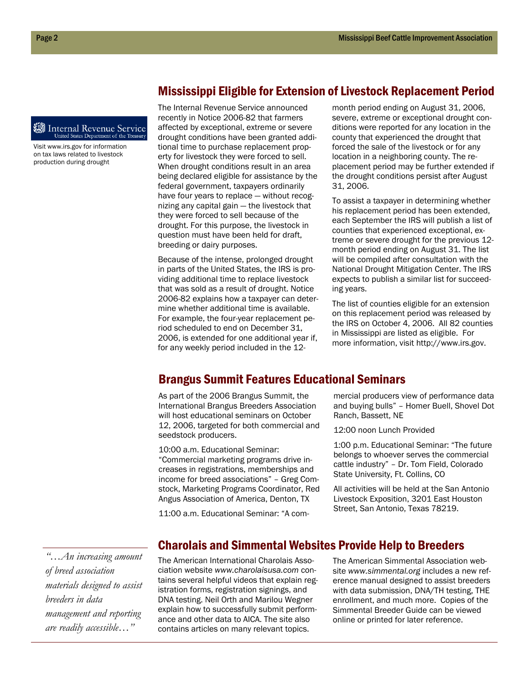#### **Internal Revenue Service** United States Department of the Treas

Visit www.irs.gov for information on tax laws related to livestock production during drought

The Internal Revenue Service announced recently in Notice 2006-82 that farmers affected by exceptional, extreme or severe drought conditions have been granted additional time to purchase replacement property for livestock they were forced to sell. When drought conditions result in an area being declared eligible for assistance by the federal government, taxpayers ordinarily have four years to replace — without recognizing any capital gain — the livestock that they were forced to sell because of the drought. For this purpose, the livestock in question must have been held for draft, breeding or dairy purposes.

Because of the intense, prolonged drought in parts of the United States, the IRS is providing additional time to replace livestock that was sold as a result of drought. Notice 2006-82 explains how a taxpayer can determine whether additional time is available. For example, the four-year replacement period scheduled to end on December 31, 2006, is extended for one additional year if, for any weekly period included in the 12-

month period ending on August 31, 2006, severe, extreme or exceptional drought conditions were reported for any location in the county that experienced the drought that forced the sale of the livestock or for any location in a neighboring county. The replacement period may be further extended if the drought conditions persist after August 31, 2006.

Mississippi Eligible for Extension of Livestock Replacement Period

To assist a taxpayer in determining whether his replacement period has been extended, each September the IRS will publish a list of counties that experienced exceptional, extreme or severe drought for the previous 12 month period ending on August 31. The list will be compiled after consultation with the National Drought Mitigation Center. The IRS expects to publish a similar list for succeeding years.

The list of counties eligible for an extension on this replacement period was released by the IRS on October 4, 2006. All 82 counties in Mississippi are listed as eligible. For more information, visit http://www.irs.gov.

## Brangus Summit Features Educational Seminars

As part of the 2006 Brangus Summit, the International Brangus Breeders Association will host educational seminars on October 12, 2006, targeted for both commercial and seedstock producers.

10:00 a.m. Educational Seminar: "Commercial marketing programs drive increases in registrations, memberships and income for breed associations" – Greg Comstock, Marketing Programs Coordinator, Red Angus Association of America, Denton, TX

11:00 a.m. Educational Seminar: "A com-

mercial producers view of performance data and buying bulls" – Homer Buell, Shovel Dot Ranch, Bassett, NE

12:00 noon Lunch Provided

1:00 p.m. Educational Seminar: "The future belongs to whoever serves the commercial cattle industry" – Dr. Tom Field, Colorado State University, Ft. Collins, CO

All activities will be held at the San Antonio Livestock Exposition, 3201 East Houston Street, San Antonio, Texas 78219.

*"…An increasing amount of breed association materials designed to assist breeders in data management and reporting are readily accessible…"* 

## Charolais and Simmental Websites Provide Help to Breeders

The American International Charolais Association website *www.charolaisusa.com* contains several helpful videos that explain registration forms, registration signings, and DNA testing. Neil Orth and Marilou Wegner explain how to successfully submit performance and other data to AICA. The site also contains articles on many relevant topics.

The American Simmental Association website *www.simmental.org* includes a new reference manual designed to assist breeders with data submission, DNA/TH testing, THE enrollment, and much more. Copies of the Simmental Breeder Guide can be viewed online or printed for later reference.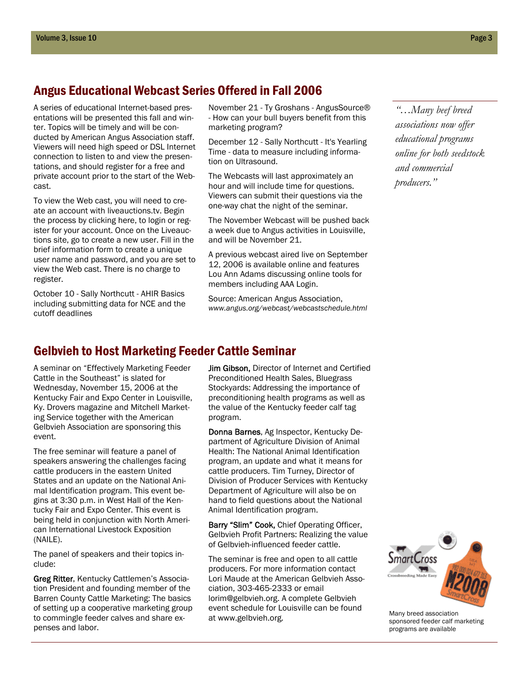## Angus Educational Webcast Series Offered in Fall 2006

A series of educational Internet-based presentations will be presented this fall and winter. Topics will be timely and will be conducted by American Angus Association staff. Viewers will need high speed or DSL Internet connection to listen to and view the presentations, and should register for a free and private account prior to the start of the Webcast.

To view the Web cast, you will need to create an account with liveauctions.tv. Begin the process by clicking here, to login or register for your account. Once on the Liveauctions site, go to create a new user. Fill in the brief information form to create a unique user name and password, and you are set to view the Web cast. There is no charge to register.

October 10 - Sally Northcutt - AHIR Basics including submitting data for NCE and the cutoff deadlines

November 21 - Ty Groshans - AngusSource® - How can your bull buyers benefit from this marketing program?

December 12 - Sally Northcutt - It's Yearling Time - data to measure including information on Ultrasound.

The Webcasts will last approximately an hour and will include time for questions. Viewers can submit their questions via the one-way chat the night of the seminar.

The November Webcast will be pushed back a week due to Angus activities in Louisville, and will be November 21.

A previous webcast aired live on September 12, 2006 is available online and features Lou Ann Adams discussing online tools for members including AAA Login.

Source: American Angus Association, *www.angus.org/webcast/webcastschedule.html* 

*"…Many beef breed associations now offer educational programs online for both seedstock and commercial producers."* 

## Gelbvieh to Host Marketing Feeder Cattle Seminar

A seminar on "Effectively Marketing Feeder Cattle in the Southeast" is slated for Wednesday, November 15, 2006 at the Kentucky Fair and Expo Center in Louisville, Ky. Drovers magazine and Mitchell Marketing Service together with the American Gelbvieh Association are sponsoring this event.

The free seminar will feature a panel of speakers answering the challenges facing cattle producers in the eastern United States and an update on the National Animal Identification program. This event begins at 3:30 p.m. in West Hall of the Kentucky Fair and Expo Center. This event is being held in conjunction with North American International Livestock Exposition (NAILE).

The panel of speakers and their topics include:

Greg Ritter, Kentucky Cattlemen's Association President and founding member of the Barren County Cattle Marketing: The basics of setting up a cooperative marketing group to commingle feeder calves and share expenses and labor.

Jim Gibson, Director of Internet and Certified Preconditioned Health Sales, Bluegrass Stockyards: Addressing the importance of preconditioning health programs as well as the value of the Kentucky feeder calf tag program.

Donna Barnes, Ag Inspector, Kentucky Department of Agriculture Division of Animal Health: The National Animal Identification program, an update and what it means for cattle producers. Tim Turney, Director of Division of Producer Services with Kentucky Department of Agriculture will also be on hand to field questions about the National Animal Identification program.

Barry "Slim" Cook, Chief Operating Officer, Gelbvieh Profit Partners: Realizing the value of Gelbvieh-influenced feeder cattle.

The seminar is free and open to all cattle producers. For more information contact Lori Maude at the American Gelbvieh Association, 303-465-2333 or email lorim@gelbvieh.org. A complete Gelbvieh event schedule for Louisville can be found at www.gelbvieh.org.



Many breed association sponsored feeder calf marketing programs are available